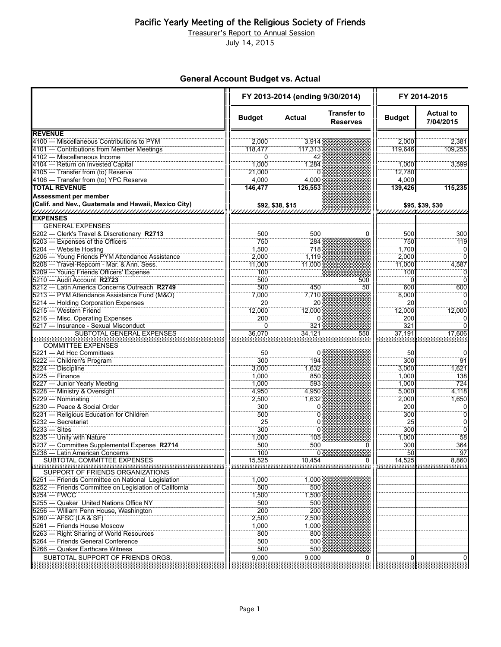Treasurer's Report to Annual Session

July 14, 2015

### **General Account Budget vs. Actual**

|                                                       | FY 2013-2014 (ending 9/30/2014) |                  |                                       | FY 2014-2015  |                               |
|-------------------------------------------------------|---------------------------------|------------------|---------------------------------------|---------------|-------------------------------|
|                                                       | <b>Budget</b>                   | <b>Actual</b>    | <b>Transfer to</b><br><b>Reserves</b> | <b>Budget</b> | <b>Actual to</b><br>7/04/2015 |
| <b>REVENUE</b>                                        |                                 |                  |                                       |               |                               |
| 4100 - Miscellaneous Contributions to PYM             | 2.000                           | 3,914            |                                       | 2.000         | 2,381                         |
| 4101 — Contributions from Member Meetings             | 118,477                         | 117,313          |                                       | 119,646       | 109,255                       |
| 4102 - Miscellaneous Income                           | $\Omega$                        | 42               |                                       |               |                               |
| 4104 - Return on Invested Capital                     | 1,000                           | 1,284            |                                       | 1,000         | 3,599                         |
| 4105 - Transfer from (to) Reserve                     | 21,000                          |                  |                                       | 12,780        |                               |
| 4106 - Transfer from (to) YPC Reserve                 | 4,000                           | 4,000            |                                       | 4,000         |                               |
| <b>TOTAL REVENUE</b>                                  | 146.477                         | 126,553          |                                       | 139,426       | 115,235                       |
| <b>Assessment per member</b>                          |                                 |                  |                                       |               |                               |
| (Calif. and Nev., Guatemala and Hawaii, Mexico City)  |                                 | \$92, \$38, \$15 |                                       |               |                               |
| <b>EXPENSES</b>                                       |                                 |                  |                                       |               |                               |
| <b>GENERAL EXPENSES</b>                               |                                 |                  |                                       |               |                               |
| 5202 - Clerk's Travel & Discretionary R2713           | 500                             | 500              |                                       | 500           | 300                           |
| 5203 - Expenses of the Officers                       | 750                             | 284              |                                       | 750           | 119                           |
| 5204 - Website Hosting                                | 1,500                           | 718              |                                       | 1,700         | 0                             |
| 5206 - Young Friends PYM Attendance Assistance        |                                 |                  |                                       | 2,000         |                               |
|                                                       | 2,000                           | 1,119            |                                       |               |                               |
| 5208 - Travel-Repcom - Mar. & Ann. Sess.              | 11,000                          | 11.000           |                                       | 11,000        | 4,587                         |
| 5209 - Young Friends Officers' Expense                | 100                             |                  |                                       | 100           |                               |
| 5210 - Audit Account R2723                            | 500                             |                  | 500                                   |               |                               |
| 5212 - Latin America Concerns Outreach R2749          | 500                             | 450              | 50                                    | 600           | 600                           |
| 5213 - PYM Attendance Assistance Fund (M&O)           | 7,000                           | 7,710            |                                       | 8,000         |                               |
| 5214 - Holding Corporation Expenses                   | 20                              | 20               |                                       | 20            |                               |
| 5215 - Western Friend                                 | 12,000                          | 12,000           |                                       | 12,000        | 12,000                        |
| 5216 - Misc. Operating Expenses                       | 200                             | $\mathbf{I}$     |                                       | 200           |                               |
| 5217 - Insurance - Sexual Misconduct                  | 0                               | 321              |                                       | 321           |                               |
| SUBTOTAL GENERAL EXPENSES                             | 36,070                          | 34.121           | 550                                   | 37,191        | 17,606                        |
| <b>COMMITTEE EXPENSES</b>                             |                                 |                  |                                       |               |                               |
| 5221 - Ad Hoc Committees                              | 50                              | 0                |                                       | 50            |                               |
|                                                       |                                 |                  |                                       |               | 91                            |
| 5222 - Children's Program                             | 300                             | 194              |                                       | 300           |                               |
| 5224 - Discipline<br>$5225 -$ Finance                 | 3,000                           | 1,632            |                                       | 3.000         | 1,621                         |
|                                                       | 1,000                           | 850              |                                       | 1,000         | 138                           |
| 5227 - Junior Yearly Meeting                          | 1,000                           | 593              |                                       | 1,000         | 724                           |
| 5228 - Ministry & Oversight                           | 4,950                           | 4,950            |                                       | 5,000         | 4,118                         |
| 5229 - Nominating                                     | 2,500                           | 1,632            |                                       | 2,000         | 1,650                         |
| 5230 - Peace & Social Order                           | 300                             | 0                |                                       | 200           | 0                             |
| 5231 - Religious Education for Children               | 500                             | 0                |                                       | 300           | Ö                             |
| 5232 - Secretariat                                    | $\overline{25}$                 | 0                |                                       | 25            | ö                             |
| $5233 - Sites$                                        | 300                             | 0                |                                       | 300           |                               |
| 5235 - Unity with Nature                              | 1,000                           | 105              |                                       | 1,000         | 58                            |
| 5237 - Committee Supplemental Expense R2714           | 500                             | 500              |                                       | 300           | 364                           |
| 5238 — Latin American Concerns                        | 100                             |                  |                                       | 50            |                               |
| SUBTOTAL COMMITTEE EXPENSES                           | 15,525                          | 10,454           | 0                                     | 14,525        | 8,860                         |
| SUPPORT OF FRIENDS ORGANIZATIONS                      |                                 |                  |                                       |               |                               |
| 5251 - Friends Committee on National Legislation      | 1,000                           | 1,000            |                                       |               |                               |
| 5252 - Friends Committee on Legislation of California | 500                             | 500              |                                       |               |                               |
| $5254 - FWCC$                                         |                                 |                  |                                       |               |                               |
| 5255 - Quaker United Nations Office NY                | 1,500                           | 1,500            |                                       |               |                               |
|                                                       | 500                             | 500              |                                       |               |                               |
| 5256 - William Penn House, Washington                 | 200                             | 200              |                                       |               |                               |
| 5260 - AFSC (LA & SF)                                 | 2,500                           | 2,500            |                                       |               |                               |
| 5261 - Friends House Moscow                           | 1,000                           | 1,000            |                                       |               |                               |
| 5263 - Right Sharing of World Resources               | 800                             | 800              |                                       |               |                               |
| 5264 - Friends General Conference                     | 500                             | 500              |                                       |               |                               |
| 5266 - Quaker Earthcare Witness                       | 500                             | 500              |                                       |               |                               |
| SUBTOTAL SUPPORT OF FRIENDS ORGS.                     | 9,000                           | 9,000            | 0                                     |               |                               |
|                                                       |                                 |                  |                                       |               |                               |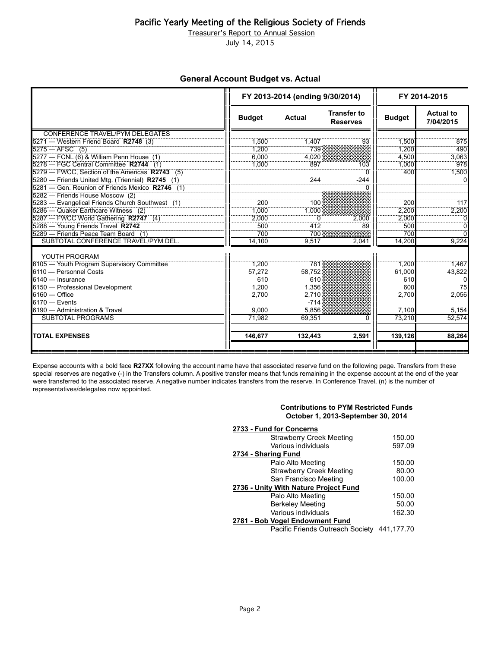Treasurer's Report to Annual Session

July 14, 2015

#### **General Account Budget vs. Actual**

|                                                  |               | FY 2013-2014 (ending 9/30/2014) |                                       | FY 2014-2015  |                               |
|--------------------------------------------------|---------------|---------------------------------|---------------------------------------|---------------|-------------------------------|
|                                                  | <b>Budget</b> | <b>Actual</b>                   | <b>Transfer to</b><br><b>Reserves</b> | <b>Budget</b> | <b>Actual to</b><br>7/04/2015 |
| CONFERENCE TRAVEL/PYM DELEGATES                  |               |                                 |                                       |               |                               |
| 5271 — Western Friend Board R2748 (3)            | 1,500         | 1,407                           | 93                                    | 1,500         | 875                           |
| $5275 - AFSC$ (5)                                | 1.200         | 739                             |                                       | 1.200         | 490                           |
| 5277 - FCNL (6) & William Penn House (1)         | 6.000         | 4.020                           |                                       | 4.500         | 3,063                         |
| 5278 - FGC Central Committee R2744 (1)           | 1,000         | 897                             | 103                                   | 1,000         | 978                           |
| 5279 - FWCC, Section of the Americas R2743 (5)   |               |                                 | O                                     | 400           | 1,500                         |
| 5280 - Friends United Mtg. (Triennial) R2745 (1) |               | 244                             | $-244$                                |               |                               |
| 5281 - Gen. Reunion of Friends Mexico R2746 (1)  |               |                                 |                                       |               |                               |
| 5282 - Friends House Moscow (2)                  |               |                                 |                                       |               |                               |
| 5283 - Evangelical Friends Church Southwest (1)  | 200           | 100                             |                                       | 200           | 117                           |
| 5286 - Quaker Earthcare Witness (2)              | 1.000         | 1,000                           |                                       | 2.200         | 2,200                         |
| 5287 - FWCC World Gathering R2747 (4)            | 2.000         |                                 | 2.000                                 | 2.000         |                               |
| 5288 - Young Friends Travel R2742                | 500           | 412                             | 89                                    | 500           |                               |
| 5289 - Friends Peace Team Board (1)              | 700           | 700                             |                                       | 700           |                               |
| SUBTOTAL CONFERENCE TRAVEL/PYM DEL.              | 14,100        | 9.517                           | 2,041                                 | 14.200        | 9,224                         |
| YOUTH PROGRAM                                    |               |                                 |                                       |               |                               |
| 6105 - Youth Program Supervisory Committee       | 1.200         | 781                             |                                       | 1,200         | 1,467                         |
| 6110 - Personnel Costs                           | 57,272        | 58.752                          |                                       | 61,000        | 43,822                        |
| 6140 - Insurance                                 | 610           | 610                             |                                       | 610           |                               |
| 6150 - Professional Development                  | 1,200         | 1.356                           |                                       | 600           | 75                            |
| $6160 -$ Office                                  | 2,700         | 2,710                           |                                       | 2,700         | 2,056                         |
| $6170 -$ Events                                  |               | $-714$                          |                                       |               |                               |
| 6190 - Administration & Travel                   | 9.000         | 5.856                           |                                       | 7,100         | 5,154                         |
| <b>SUBTOTAL PROGRAMS</b>                         | 71,982        | 69.351                          | U                                     | 73.210        | 52,574                        |
| <b>TOTAL EXPENSES</b>                            | 146,677       | 132,443                         | 2,591                                 | 139,126       | 88,264                        |
|                                                  |               |                                 |                                       |               |                               |

Expense accounts with a bold face **R27XX** following the account name have that associated reserve fund on the following page. Transfers from these special reserves are negative (-) in the Transfers column. A positive transfer means that funds remaining in the expense account at the end of the year were transferred to the associated reserve. A negative number indicates transfers from the reserve. In Conference Travel, (n) is the number of representatives/delegates now appointed.

#### **Contributions to PYM Restricted Funds October 1, 2013-September 30, 2014**

| 2733 - Fund for Concerns                    |        |  |  |
|---------------------------------------------|--------|--|--|
| <b>Strawberry Creek Meeting</b>             | 150.00 |  |  |
| Various individuals                         | 597.09 |  |  |
| 2734 - Sharing Fund                         |        |  |  |
| Palo Alto Meeting                           | 150.00 |  |  |
| <b>Strawberry Creek Meeting</b>             | 80.00  |  |  |
| San Francisco Meeting                       | 100.00 |  |  |
| 2736 - Unity With Nature Project Fund       |        |  |  |
| Palo Alto Meeting                           | 150.00 |  |  |
| <b>Berkeley Meeting</b>                     | 50.00  |  |  |
| Various individuals                         | 162.30 |  |  |
| 2781 - Bob Vogel Endowment Fund             |        |  |  |
| Pacific Friends Outreach Society 441,177.70 |        |  |  |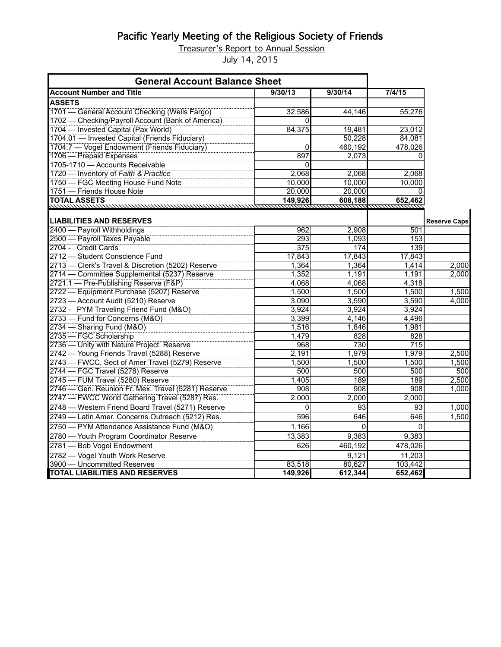Treasurer's Report to Annual Session

July 14, 2015

| <b>General Account Balance Sheet</b>               |             |          |         |                     |
|----------------------------------------------------|-------------|----------|---------|---------------------|
| <b>Account Number and Title</b>                    | 9/30/13     | 9/30/14  | 7/4/15  |                     |
| <b>ASSETS</b>                                      |             |          |         |                     |
| 1701 - General Account Checking (Wells Fargo)      | 32,586      | 44,146   | 55,276  |                     |
| 1702 - Checking/Payroll Account (Bank of America)  | Ωl          |          |         |                     |
| 1704 - Invested Capital (Pax World)                | 84,375      | 19,481   | 23,012  |                     |
| 1704.01 - Invested Capital (Friends Fiduciary)     |             | 50,228   | 84.081  |                     |
| 1704.7 - Vogel Endowment (Friends Fiduciary)       | 0           | 460,192  | 478,026 |                     |
| 1706 — Prepaid Expenses                            | 897         | 2,073    | 0       |                     |
| 1705-1710 - Accounts Receivable                    | 0           |          |         |                     |
| 1720 - Inventory of Faith & Practice               | 2,068       | 2,068    | 2,068   |                     |
| 1750 - FGC Meeting House Fund Note                 | 10,000      | 10,000   | 10,000  |                     |
| 1751 - Friends House Note                          | 20,000      | 20,000   | 0       |                     |
| <b>TOTAL ASSETS</b><br><u>ummmmmmmmmmm</u> mmmm    | 149,926     | 608,188  | 652,462 |                     |
| <b>LIABILITIES AND RESERVES</b>                    |             |          |         | <b>Reserve Caps</b> |
| 2400 - Payroll Withholdings                        | 962         | 2,908    | 501     |                     |
| 2500 - Payroll Taxes Payable                       | 293         | 1,093    | 153     |                     |
| 2704 - Credit Cards                                | 375         | 174      | 139     |                     |
| 2712 - Student Conscience Fund                     | 17,843      | 17,843   | 17,843  |                     |
| 2713 - Clerk's Travel & Discretion (5202) Reserve  | 1,364       | 1,364    | 1,414   | 2,000               |
| 2714 - Committee Supplemental (5237) Reserve       | 1,352       | 1,191    | 1,191   | 2,000               |
| 2721.1 - Pre-Publishing Reserve (F&P)              | 4.068       | 4.068    | 4,318   |                     |
| 2722 - Equipment Purchase (5207) Reserve           | 1,500       | 1,500    | 1,500   | 1,500               |
| 2723 - Account Audit (5210) Reserve                | 3,090       | 3,590    | 3,590   | 4,000               |
| 2732 - PYM Traveling Friend Fund (M&O)             | 3,924       | 3.924    | 3,924   |                     |
| 2733 - Fund for Concerns (M&O)                     | 3,399       | 4,146    | 4,496   |                     |
| 2734 - Sharing Fund (M&O)                          | 1,516       | 1,846    | 1,981   |                     |
| 2735 - FGC Scholarship                             | 1,479       | 828      | 828     |                     |
| 2736 - Unity with Nature Project Reserve           | 968         | 730      | 715     |                     |
| 2742 - Young Friends Travel (5288) Reserve         | 2,191       | 1,979    | 1,979   | 2,500               |
| 2743 - FWCC, Sect of Amer Travel (5279) Reserve    | 1,500       | 1,500    | 1,500   | 1,500               |
| 2744 - FGC Travel (5278) Reserve                   | 500         | 500      | 500     | 500                 |
| 2745 - FUM Travel (5280) Reserve                   | 1,405       | 189      | 189     | 2,500               |
| 2746 - Gen. Reunion Fr. Mex. Travel (5281) Reserve | 908         | 908      | 908     | 1,000               |
| 2747 - FWCC World Gathering Travel (5287) Res.     | 2,000       | 2,000    | 2,000   |                     |
| 2748 - Western Friend Board Travel (5271) Reserve  | $\mathbf 0$ | 93       | 93      | 1,000               |
| 2749 - Latin Amer. Concerns Outreach (5212) Res.   | 596         | 646      | 646     | 1,500               |
| 2750 - PYM Attendance Assistance Fund (M&O)        | 1,166       | $\Omega$ | 0       |                     |
| 2780 - Youth Program Coordinator Reserve           | 13,383      | 9,383    | 9,383   |                     |
| 2781 - Bob Vogel Endowment                         | 626         | 460,192  | 478,026 |                     |
| 2782 - Vogel Youth Work Reserve                    |             | 9,121    | 11,203  |                     |
| 3900 - Uncommitted Reserves                        | 83,518      | 80,627   | 103,442 |                     |
| <b>TOTAL LIABILITIES AND RESERVES</b>              | 149,926     | 612,344  | 652,462 |                     |